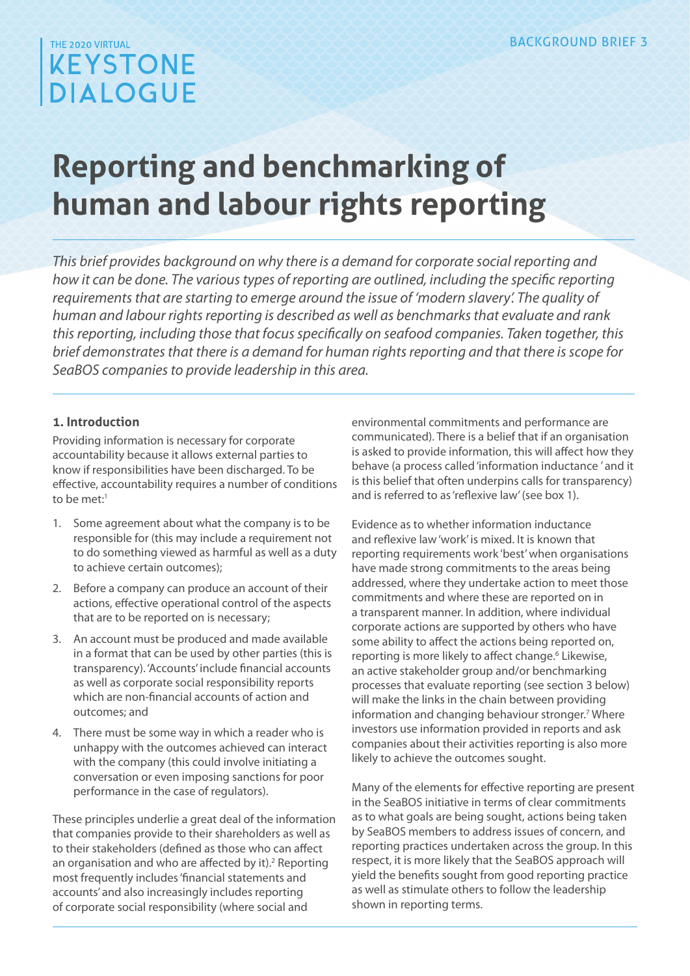### THE 2020 VIRTUAL **KEYSTONE DIALOGUE**

# **Reporting and benchmarking of human and labour rights reporting**

*This brief provides background on why there is a demand for corporate social reporting and how it can be done. The various types of reporting are outlined, including the specific reporting requirements that are starting to emerge around the issue of 'modern slavery'. The quality of human and labour rights reporting is described as well as benchmarks that evaluate and rank this reporting, including those that focus specifically on seafood companies. Taken together, this brief demonstrates that there is a demand for human rights reporting and that there is scope for SeaBOS companies to provide leadership in this area.*

#### **1. Introduction**

Providing information is necessary for corporate accountability because it allows external parties to know if responsibilities have been discharged. To be effective, accountability requires a number of conditions to be met:<sup>1</sup>

- 1. Some agreement about what the company is to be responsible for (this may include a requirement not to do something viewed as harmful as well as a duty to achieve certain outcomes);
- 2. Before a company can produce an account of their actions, effective operational control of the aspects that are to be reported on is necessary;
- 3. An account must be produced and made available in a format that can be used by other parties (this is transparency). 'Accounts' include financial accounts as well as corporate social responsibility reports which are non-financial accounts of action and outcomes; and
- 4. There must be some way in which a reader who is unhappy with the outcomes achieved can interact with the company (this could involve initiating a conversation or even imposing sanctions for poor performance in the case of regulators).

These principles underlie a great deal of the information that companies provide to their shareholders as well as to their stakeholders (defined as those who can affect an organisation and who are affected by it).<sup>2</sup> Reporting most frequently includes 'financial statements and accounts' and also increasingly includes reporting of corporate social responsibility (where social and

environmental commitments and performance are communicated). There is a belief that if an organisation is asked to provide information, this will affect how they behave (a process called 'information inductance ' and it is this belief that often underpins calls for transparency) and is referred to as 'reflexive law' (see box 1).

Evidence as to whether information inductance and reflexive law 'work' is mixed. It is known that reporting requirements work 'best' when organisations have made strong commitments to the areas being addressed, where they undertake action to meet those commitments and where these are reported on in a transparent manner. In addition, where individual corporate actions are supported by others who have some ability to affect the actions being reported on, reporting is more likely to affect change.<sup>6</sup> Likewise, an active stakeholder group and/or benchmarking processes that evaluate reporting (see section 3 below) will make the links in the chain between providing information and changing behaviour stronger.<sup>7</sup> Where investors use information provided in reports and ask companies about their activities reporting is also more likely to achieve the outcomes sought.

Many of the elements for effective reporting are present in the SeaBOS initiative in terms of clear commitments as to what goals are being sought, actions being taken by SeaBOS members to address issues of concern, and reporting practices undertaken across the group. In this respect, it is more likely that the SeaBOS approach will yield the benefits sought from good reporting practice as well as stimulate others to follow the leadership shown in reporting terms.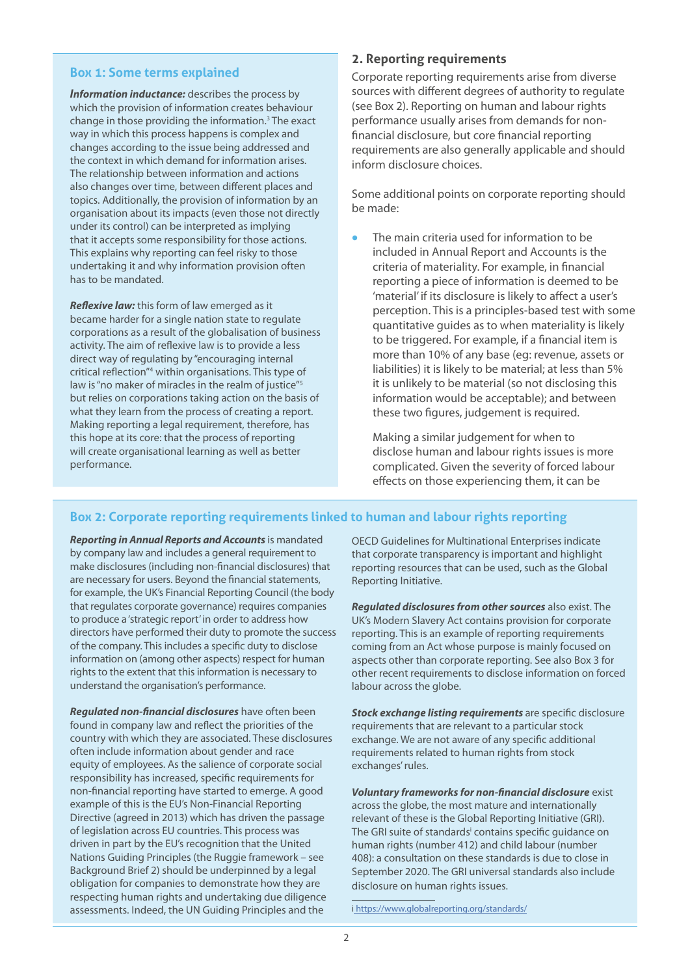#### **Box 1: Some terms explained**

*Information inductance:* describes the process by which the provision of information creates behaviour change in those providing the information.<sup>3</sup> The exact way in which this process happens is complex and changes according to the issue being addressed and the context in which demand for information arises. The relationship between information and actions also changes over time, between different places and topics. Additionally, the provision of information by an organisation about its impacts (even those not directly under its control) can be interpreted as implying that it accepts some responsibility for those actions. This explains why reporting can feel risky to those undertaking it and why information provision often has to be mandated.

*Reflexive law:* this form of law emerged as it became harder for a single nation state to regulate corporations as a result of the globalisation of business activity. The aim of reflexive law is to provide a less direct way of regulating by "encouraging internal critical reflection"4 within organisations. This type of law is "no maker of miracles in the realm of justice"<sup>5</sup> but relies on corporations taking action on the basis of what they learn from the process of creating a report. Making reporting a legal requirement, therefore, has this hope at its core: that the process of reporting will create organisational learning as well as better performance.

#### **2. Reporting requirements**

Corporate reporting requirements arise from diverse sources with different degrees of authority to regulate (see Box 2). Reporting on human and labour rights performance usually arises from demands for nonfinancial disclosure, but core financial reporting requirements are also generally applicable and should inform disclosure choices.

Some additional points on corporate reporting should be made:

**•** The main criteria used for information to be included in Annual Report and Accounts is the criteria of materiality. For example, in financial reporting a piece of information is deemed to be 'material' if its disclosure is likely to affect a user's perception. This is a principles-based test with some quantitative guides as to when materiality is likely to be triggered. For example, if a financial item is more than 10% of any base (eg: revenue, assets or liabilities) it is likely to be material; at less than 5% it is unlikely to be material (so not disclosing this information would be acceptable); and between these two figures, judgement is required.

Making a similar judgement for when to disclose human and labour rights issues is more complicated. Given the severity of forced labour effects on those experiencing them, it can be

#### **Box 2: Corporate reporting requirements linked to human and labour rights reporting**

*Reporting in Annual Reports and Accounts* is mandated by company law and includes a general requirement to make disclosures (including non-financial disclosures) that are necessary for users. Beyond the financial statements, for example, the UK's Financial Reporting Council (the body that regulates corporate governance) requires companies to produce a 'strategic report' in order to address how directors have performed their duty to promote the success of the company. This includes a specific duty to disclose information on (among other aspects) respect for human rights to the extent that this information is necessary to understand the organisation's performance.

*Regulated non-financial disclosures* have often been found in company law and reflect the priorities of the country with which they are associated. These disclosures often include information about gender and race equity of employees. As the salience of corporate social responsibility has increased, specific requirements for non-financial reporting have started to emerge. A good example of this is the EU's Non-Financial Reporting Directive (agreed in 2013) which has driven the passage of legislation across EU countries. This process was driven in part by the EU's recognition that the United Nations Guiding Principles (the Ruggie framework – see Background Brief 2) should be underpinned by a legal obligation for companies to demonstrate how they are respecting human rights and undertaking due diligence assessments. Indeed, the UN Guiding Principles and the

OECD Guidelines for Multinational Enterprises indicate that corporate transparency is important and highlight reporting resources that can be used, such as the Global Reporting Initiative.

*Regulated disclosures from other sources* also exist. The UK's Modern Slavery Act contains provision for corporate reporting. This is an example of reporting requirements coming from an Act whose purpose is mainly focused on aspects other than corporate reporting. See also Box 3 for other recent requirements to disclose information on forced labour across the globe.

*Stock exchange listing requirements* are specific disclosure requirements that are relevant to a particular stock exchange. We are not aware of any specific additional requirements related to human rights from stock exchanges' rules.

*Voluntary frameworks for non-financial disclosure* exist across the globe, the most mature and internationally relevant of these is the Global Reporting Initiative (GRI). The GRI suite of standards<sup>i</sup> contains specific guidance on human rights (number 412) and child labour (number 408): a consultation on these standards is due to close in September 2020. The GRI universal standards also include disclosure on human rights issues.

i [https://www.globalreporting.org/standards/]( https://www.globalreporting.org/standards/)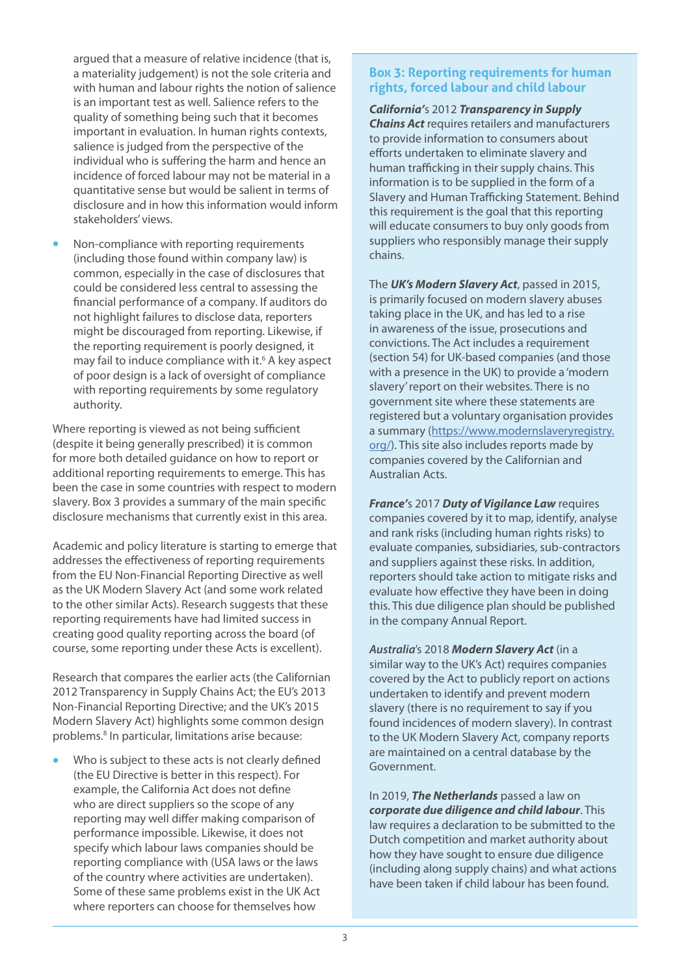argued that a measure of relative incidence (that is, a materiality judgement) is not the sole criteria and with human and labour rights the notion of salience is an important test as well. Salience refers to the quality of something being such that it becomes important in evaluation. In human rights contexts, salience is judged from the perspective of the individual who is suffering the harm and hence an incidence of forced labour may not be material in a quantitative sense but would be salient in terms of disclosure and in how this information would inform stakeholders' views.

**•** Non-compliance with reporting requirements (including those found within company law) is common, especially in the case of disclosures that could be considered less central to assessing the financial performance of a company. If auditors do not highlight failures to disclose data, reporters might be discouraged from reporting. Likewise, if the reporting requirement is poorly designed, it may fail to induce compliance with it.<sup>6</sup> A key aspect of poor design is a lack of oversight of compliance with reporting requirements by some requlatory authority.

Where reporting is viewed as not being sufficient (despite it being generally prescribed) it is common for more both detailed guidance on how to report or additional reporting requirements to emerge. This has been the case in some countries with respect to modern slavery. Box 3 provides a summary of the main specific disclosure mechanisms that currently exist in this area.

Academic and policy literature is starting to emerge that addresses the effectiveness of reporting requirements from the EU Non-Financial Reporting Directive as well as the UK Modern Slavery Act (and some work related to the other similar Acts). Research suggests that these reporting requirements have had limited success in creating good quality reporting across the board (of course, some reporting under these Acts is excellent).

Research that compares the earlier acts (the Californian 2012 Transparency in Supply Chains Act; the EU's 2013 Non-Financial Reporting Directive; and the UK's 2015 Modern Slavery Act) highlights some common design problems.<sup>8</sup> In particular, limitations arise because:

**•** Who is subject to these acts is not clearly defined (the EU Directive is better in this respect). For example, the California Act does not define who are direct suppliers so the scope of any reporting may well differ making comparison of performance impossible. Likewise, it does not specify which labour laws companies should be reporting compliance with (USA laws or the laws of the country where activities are undertaken). Some of these same problems exist in the UK Act where reporters can choose for themselves how

#### **Box 3: Reporting requirements for human rights, forced labour and child labour**

*California'*s 2012 *Transparency in Supply Chains Act* requires retailers and manufacturers to provide information to consumers about efforts undertaken to eliminate slavery and human trafficking in their supply chains. This information is to be supplied in the form of a Slavery and Human Trafficking Statement. Behind this requirement is the goal that this reporting will educate consumers to buy only goods from suppliers who responsibly manage their supply chains.

The *UK's Modern Slavery Act*, passed in 2015, is primarily focused on modern slavery abuses taking place in the UK, and has led to a rise in awareness of the issue, prosecutions and convictions. The Act includes a requirement (section 54) for UK-based companies (and those with a presence in the UK) to provide a 'modern slavery' report on their websites. There is no government site where these statements are registered but a voluntary organisation provides a summary [\(https://www.modernslaveryregistry.](https://www.modernslaveryregistry.org/) [org/](https://www.modernslaveryregistry.org/)). This site also includes reports made by companies covered by the Californian and Australian Acts.

*France'*s 2017 *Duty of Vigilance Law* requires companies covered by it to map, identify, analyse and rank risks (including human rights risks) to evaluate companies, subsidiaries, sub-contractors and suppliers against these risks. In addition, reporters should take action to mitigate risks and evaluate how effective they have been in doing this. This due diligence plan should be published in the company Annual Report.

*Australia*'s 2018 *Modern Slavery Act* (in a similar way to the UK's Act) requires companies covered by the Act to publicly report on actions undertaken to identify and prevent modern slavery (there is no requirement to say if you found incidences of modern slavery). In contrast to the UK Modern Slavery Act, company reports are maintained on a central database by the Government.

In 2019, *The Netherlands* passed a law on *corporate due diligence and child labour*. This law requires a declaration to be submitted to the Dutch competition and market authority about how they have sought to ensure due diligence (including along supply chains) and what actions have been taken if child labour has been found.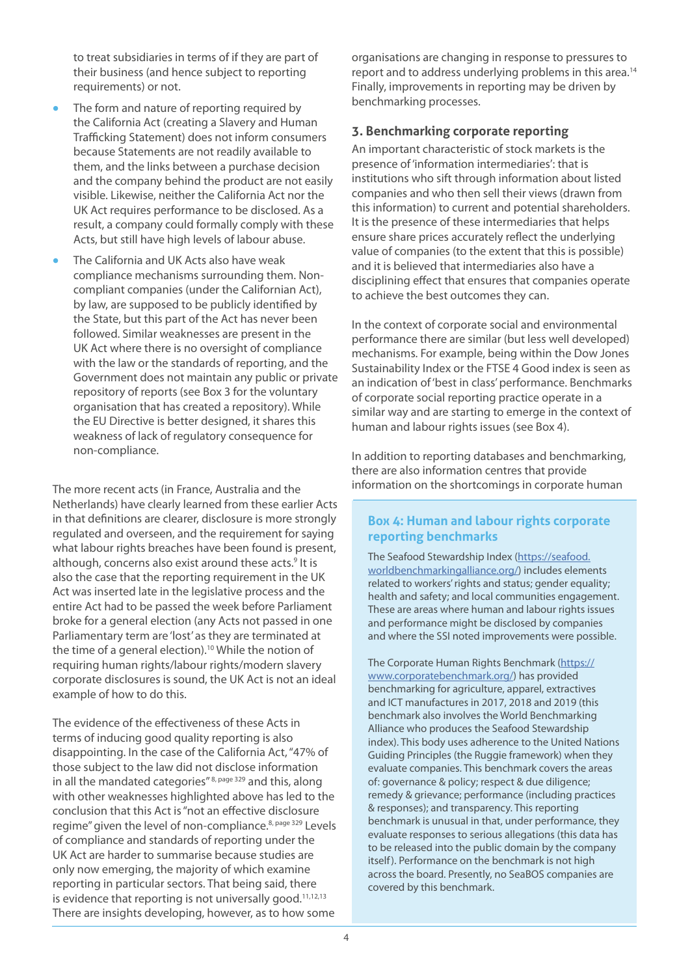to treat subsidiaries in terms of if they are part of their business (and hence subject to reporting requirements) or not.

- **•** The form and nature of reporting required by the California Act (creating a Slavery and Human Trafficking Statement) does not inform consumers because Statements are not readily available to them, and the links between a purchase decision and the company behind the product are not easily visible. Likewise, neither the California Act nor the UK Act requires performance to be disclosed. As a result, a company could formally comply with these Acts, but still have high levels of labour abuse.
- **•** The California and UK Acts also have weak compliance mechanisms surrounding them. Noncompliant companies (under the Californian Act), by law, are supposed to be publicly identified by the State, but this part of the Act has never been followed. Similar weaknesses are present in the UK Act where there is no oversight of compliance with the law or the standards of reporting, and the Government does not maintain any public or private repository of reports (see Box 3 for the voluntary organisation that has created a repository). While the EU Directive is better designed, it shares this weakness of lack of regulatory consequence for non-compliance.

The more recent acts (in France, Australia and the Netherlands) have clearly learned from these earlier Acts in that definitions are clearer, disclosure is more strongly regulated and overseen, and the requirement for saying what labour rights breaches have been found is present, although, concerns also exist around these acts.<sup>9</sup> It is also the case that the reporting requirement in the UK Act was inserted late in the legislative process and the entire Act had to be passed the week before Parliament broke for a general election (any Acts not passed in one Parliamentary term are 'lost' as they are terminated at the time of a general election).<sup>10</sup> While the notion of requiring human rights/labour rights/modern slavery corporate disclosures is sound, the UK Act is not an ideal example of how to do this.

The evidence of the effectiveness of these Acts in terms of inducing good quality reporting is also disappointing. In the case of the California Act, "47% of those subject to the law did not disclose information in all the mandated categories" 8, page 329 and this, along with other weaknesses highlighted above has led to the conclusion that this Act is "not an effective disclosure regime" given the level of non-compliance.<sup>8, page 329</sup> Levels of compliance and standards of reporting under the UK Act are harder to summarise because studies are only now emerging, the majority of which examine reporting in particular sectors. That being said, there is evidence that reporting is not universally good.<sup>11,12,13</sup> There are insights developing, however, as to how some

organisations are changing in response to pressures to report and to address underlying problems in this area.<sup>14</sup> Finally, improvements in reporting may be driven by benchmarking processes.

#### **3. Benchmarking corporate reporting**

An important characteristic of stock markets is the presence of 'information intermediaries': that is institutions who sift through information about listed companies and who then sell their views (drawn from this information) to current and potential shareholders. It is the presence of these intermediaries that helps ensure share prices accurately reflect the underlying value of companies (to the extent that this is possible) and it is believed that intermediaries also have a disciplining effect that ensures that companies operate to achieve the best outcomes they can.

In the context of corporate social and environmental performance there are similar (but less well developed) mechanisms. For example, being within the Dow Jones Sustainability Index or the FTSE 4 Good index is seen as an indication of 'best in class' performance. Benchmarks of corporate social reporting practice operate in a similar way and are starting to emerge in the context of human and labour rights issues (see Box 4).

In addition to reporting databases and benchmarking, there are also information centres that provide information on the shortcomings in corporate human

#### **Box 4: Human and labour rights corporate reporting benchmarks**

The Seafood Stewardship Index ([https://seafood.](https://seafood.worldbenchmarkingalliance.org/) [worldbenchmarkingalliance.org/](https://seafood.worldbenchmarkingalliance.org/)) includes elements related to workers' rights and status; gender equality; health and safety; and local communities engagement. These are areas where human and labour rights issues and performance might be disclosed by companies and where the SSI noted improvements were possible.

The Corporate Human Rights Benchmark ([https://](https://www.corporatebenchmark.org/) [www.corporatebenchmark.org/](https://www.corporatebenchmark.org/)) has provided benchmarking for agriculture, apparel, extractives and ICT manufactures in 2017, 2018 and 2019 (this benchmark also involves the World Benchmarking Alliance who produces the Seafood Stewardship index). This body uses adherence to the United Nations Guiding Principles (the Ruggie framework) when they evaluate companies. This benchmark covers the areas of: governance & policy; respect & due diligence; remedy & grievance; performance (including practices & responses); and transparency. This reporting benchmark is unusual in that, under performance, they evaluate responses to serious allegations (this data has to be released into the public domain by the company itself). Performance on the benchmark is not high across the board. Presently, no SeaBOS companies are covered by this benchmark.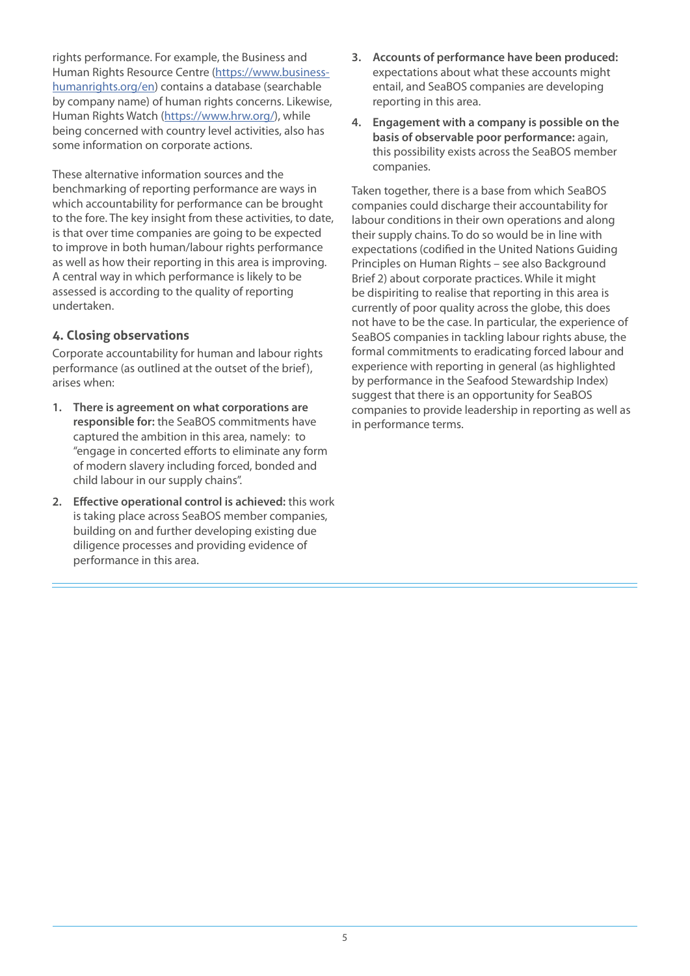rights performance. For example, the Business and Human Rights Resource Centre ([https://www.business](https://www.business-humanrights.org/en)[humanrights.org/en](https://www.business-humanrights.org/en)) contains a database (searchable by company name) of human rights concerns. Likewise, Human Rights Watch ([https://www.hrw.org/\)](https://www.hrw.org/), while being concerned with country level activities, also has some information on corporate actions.

These alternative information sources and the benchmarking of reporting performance are ways in which accountability for performance can be brought to the fore. The key insight from these activities, to date, is that over time companies are going to be expected to improve in both human/labour rights performance as well as how their reporting in this area is improving. A central way in which performance is likely to be assessed is according to the quality of reporting undertaken.

#### **4. Closing observations**

Corporate accountability for human and labour rights performance (as outlined at the outset of the brief), arises when:

- **1. There is agreement on what corporations are responsible for:** the SeaBOS commitments have captured the ambition in this area, namely: to "engage in concerted efforts to eliminate any form of modern slavery including forced, bonded and child labour in our supply chains".
- **2. Effective operational control is achieved:** this work is taking place across SeaBOS member companies, building on and further developing existing due diligence processes and providing evidence of performance in this area.
- **3. Accounts of performance have been produced:** expectations about what these accounts might entail, and SeaBOS companies are developing reporting in this area.
- **4. Engagement with a company is possible on the basis of observable poor performance:** again, this possibility exists across the SeaBOS member companies.

Taken together, there is a base from which SeaBOS companies could discharge their accountability for labour conditions in their own operations and along their supply chains. To do so would be in line with expectations (codified in the United Nations Guiding Principles on Human Rights – see also Background Brief 2) about corporate practices. While it might be dispiriting to realise that reporting in this area is currently of poor quality across the globe, this does not have to be the case. In particular, the experience of SeaBOS companies in tackling labour rights abuse, the formal commitments to eradicating forced labour and experience with reporting in general (as highlighted by performance in the Seafood Stewardship Index) suggest that there is an opportunity for SeaBOS companies to provide leadership in reporting as well as in performance terms.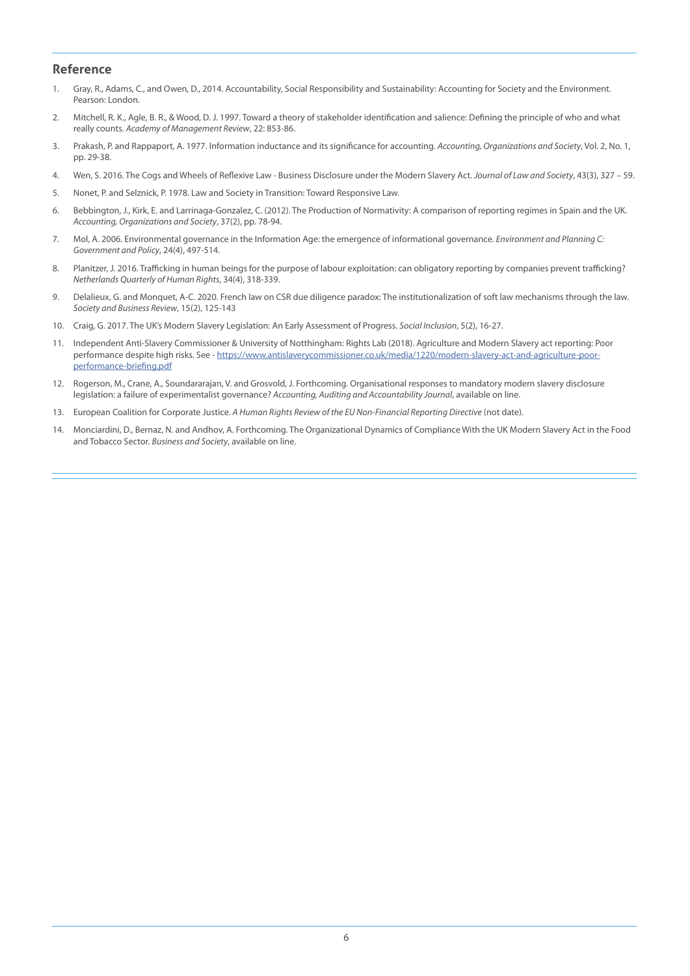#### **Reference**

- 1. Gray, R., Adams, C., and Owen, D., 2014. Accountability, Social Responsibility and Sustainability: Accounting for Society and the Environment. Pearson: London.
- 2. Mitchell, R. K., Agle, B. R., & Wood, D. J. 1997. Toward a theory of stakeholder identification and salience: Defining the principle of who and what really counts. *Academy of Management Review*, 22: 853-86.
- 3. Prakash, P. and Rappaport, A. 1977. Information inductance and its significance for accounting. *Accounting, Organizations and Society*, Vol. 2, No. 1, pp. 29-38.
- 4. Wen, S. 2016. The Cogs and Wheels of Reflexive Law Business Disclosure under the Modern Slavery Act. *Journal of Law and Society*, 43(3), 327 59.
- 5. Nonet, P. and Selznick, P. 1978. Law and Society in Transition: Toward Responsive Law.
- 6. Bebbington, J., Kirk, E. and Larrinaga-Gonzalez, C. (2012). The Production of Normativity: A comparison of reporting regimes in Spain and the UK. *Accounting, Organizations and Society*, 37(2), pp. 78-94.
- 7. Mol, A. 2006. Environmental governance in the Information Age: the emergence of informational governance. *Environment and Planning C: Government and Policy*, 24(4), 497-514.
- 8. Planitzer, J. 2016. Trafficking in human beings for the purpose of labour exploitation: can obligatory reporting by companies prevent trafficking? *Netherlands Quarterly of Human Rights*, 34(4), 318-339.
- 9. Delalieux, G. and Monquet, A-C. 2020. French law on CSR due diligence paradox: The institutionalization of soft law mechanisms through the law. *Society and Business Review*, 15(2), 125-143
- 10. Craig, G. 2017. The UK's Modern Slavery Legislation: An Early Assessment of Progress. *Social Inclusion*, 5(2), 16-27.
- 11. Independent Anti-Slavery Commissioner & University of Notthingham: Rights Lab (2018). Agriculture and Modern Slavery act reporting: Poor performance despite high risks. See - [https://www.antislaverycommissioner.co.uk/media/1220/modern-slavery-act-and-agriculture-poor](https://www.antislaverycommissioner.co.uk/media/1220/modern-slavery-act-and-agriculture-poor-performance-briefing.pdf)[performance-briefing.pdf](https://www.antislaverycommissioner.co.uk/media/1220/modern-slavery-act-and-agriculture-poor-performance-briefing.pdf)
- 12. Rogerson, M., Crane, A., Soundararajan, V. and Grosvold, J. Forthcoming. Organisational responses to mandatory modern slavery disclosure legislation: a failure of experimentalist governance? *Accounting, Auditing and Accountability Journal*, available on line.
- 13. European Coalition for Corporate Justice. *A Human Rights Review of the EU Non-Financial Reporting Directive* (not date).
- 14. Monciardini, D., Bernaz, N. and Andhov, A. Forthcoming. The Organizational Dynamics of Compliance With the UK Modern Slavery Act in the Food and Tobacco Sector. *Business and Society*, available on line.